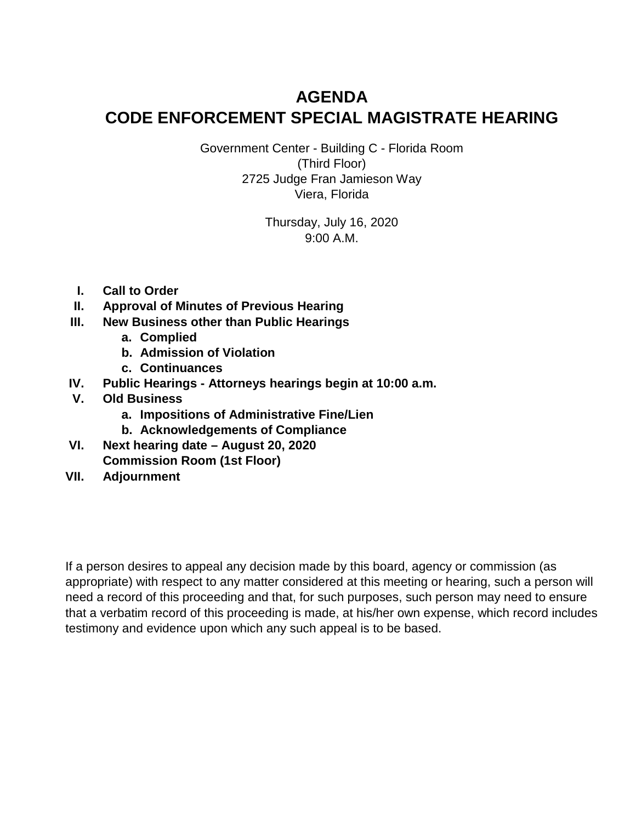# **AGENDA CODE ENFORCEMENT SPECIAL MAGISTRATE HEARING**

Government Center - Building C - Florida Room (Third Floor) 2725 Judge Fran Jamieson Way Viera, Florida

> Thursday, July 16, 2020 9:00 A.M.

- **I. Call to Order**
- **II. Approval of Minutes of Previous Hearing**
- **III. New Business other than Public Hearings**
	- **a. Complied**
	- **b. Admission of Violation**
	- **c. Continuances**
- **IV. Public Hearings Attorneys hearings begin at 10:00 a.m.**
- **V. Old Business**
	- **a. Impositions of Administrative Fine/Lien**
	- **b. Acknowledgements of Compliance**
- **VI. Next hearing date August 20, 2020 Commission Room (1st Floor)**
- **VII. Adjournment**

If a person desires to appeal any decision made by this board, agency or commission (as appropriate) with respect to any matter considered at this meeting or hearing, such a person will need a record of this proceeding and that, for such purposes, such person may need to ensure that a verbatim record of this proceeding is made, at his/her own expense, which record includes testimony and evidence upon which any such appeal is to be based.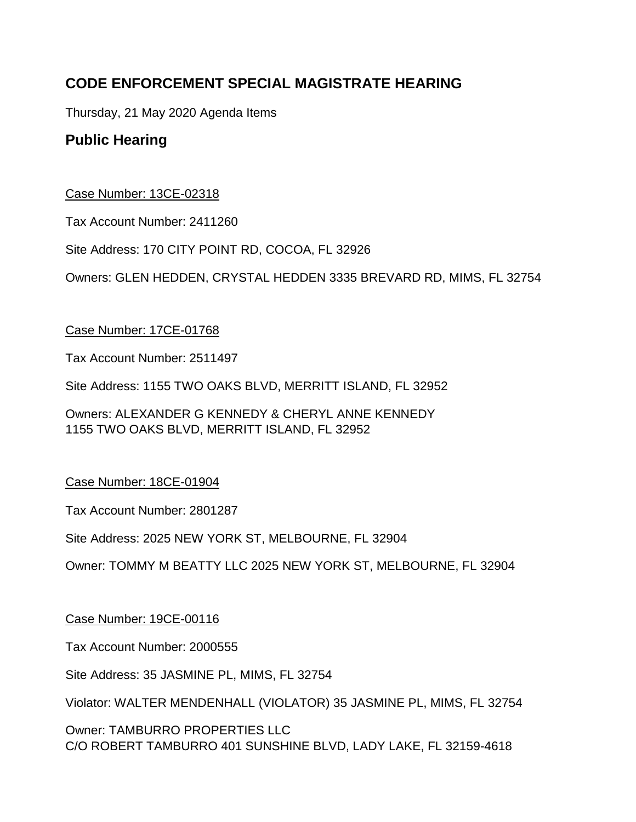# **CODE ENFORCEMENT SPECIAL MAGISTRATE HEARING**

Thursday, 21 May 2020 Agenda Items

# **Public Hearing**

# Case Number: 13CE-02318

Tax Account Number: 2411260

Site Address: 170 CITY POINT RD, COCOA, FL 32926

Owners: GLEN HEDDEN, CRYSTAL HEDDEN 3335 BREVARD RD, MIMS, FL 32754

# Case Number: 17CE-01768

Tax Account Number: 2511497

Site Address: 1155 TWO OAKS BLVD, MERRITT ISLAND, FL 32952

Owners: ALEXANDER G KENNEDY & CHERYL ANNE KENNEDY 1155 TWO OAKS BLVD, MERRITT ISLAND, FL 32952

# Case Number: 18CE-01904

Tax Account Number: 2801287

Site Address: 2025 NEW YORK ST, MELBOURNE, FL 32904

Owner: TOMMY M BEATTY LLC 2025 NEW YORK ST, MELBOURNE, FL 32904

# Case Number: 19CE-00116

Tax Account Number: 2000555

Site Address: 35 JASMINE PL, MIMS, FL 32754

Violator: WALTER MENDENHALL (VIOLATOR) 35 JASMINE PL, MIMS, FL 32754

Owner: TAMBURRO PROPERTIES LLC C/O ROBERT TAMBURRO 401 SUNSHINE BLVD, LADY LAKE, FL 32159-4618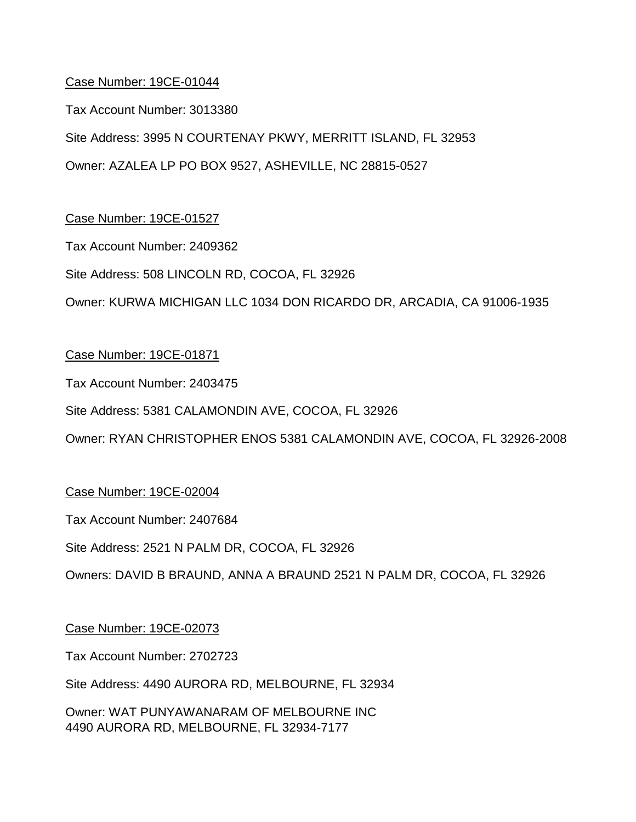Tax Account Number: 3013380

Site Address: 3995 N COURTENAY PKWY, MERRITT ISLAND, FL 32953

Owner: AZALEA LP PO BOX 9527, ASHEVILLE, NC 28815-0527

# Case Number: 19CE-01527

Tax Account Number: 2409362

Site Address: 508 LINCOLN RD, COCOA, FL 32926

Owner: KURWA MICHIGAN LLC 1034 DON RICARDO DR, ARCADIA, CA 91006-1935

# Case Number: 19CE-01871

Tax Account Number: 2403475

Site Address: 5381 CALAMONDIN AVE, COCOA, FL 32926

Owner: RYAN CHRISTOPHER ENOS 5381 CALAMONDIN AVE, COCOA, FL 32926-2008

#### Case Number: 19CE-02004

Tax Account Number: 2407684

Site Address: 2521 N PALM DR, COCOA, FL 32926

Owners: DAVID B BRAUND, ANNA A BRAUND 2521 N PALM DR, COCOA, FL 32926

#### Case Number: 19CE-02073

Tax Account Number: 2702723

Site Address: 4490 AURORA RD, MELBOURNE, FL 32934

Owner: WAT PUNYAWANARAM OF MELBOURNE INC 4490 AURORA RD, MELBOURNE, FL 32934-7177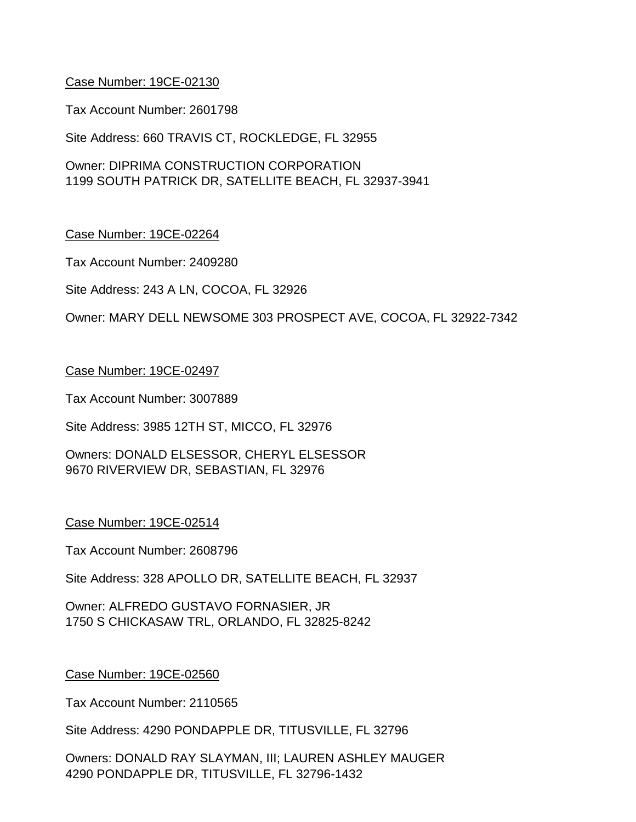Tax Account Number: 2601798

Site Address: 660 TRAVIS CT, ROCKLEDGE, FL 32955

Owner: DIPRIMA CONSTRUCTION CORPORATION 1199 SOUTH PATRICK DR, SATELLITE BEACH, FL 32937-3941

#### Case Number: 19CE-02264

Tax Account Number: 2409280

Site Address: 243 A LN, COCOA, FL 32926

Owner: MARY DELL NEWSOME 303 PROSPECT AVE, COCOA, FL 32922-7342

#### Case Number: 19CE-02497

Tax Account Number: 3007889

Site Address: 3985 12TH ST, MICCO, FL 32976

Owners: DONALD ELSESSOR, CHERYL ELSESSOR 9670 RIVERVIEW DR, SEBASTIAN, FL 32976

#### Case Number: 19CE-02514

Tax Account Number: 2608796

Site Address: 328 APOLLO DR, SATELLITE BEACH, FL 32937

Owner: ALFREDO GUSTAVO FORNASIER, JR 1750 S CHICKASAW TRL, ORLANDO, FL 32825-8242

#### Case Number: 19CE-02560

Tax Account Number: 2110565

Site Address: 4290 PONDAPPLE DR, TITUSVILLE, FL 32796

Owners: DONALD RAY SLAYMAN, III; LAUREN ASHLEY MAUGER 4290 PONDAPPLE DR, TITUSVILLE, FL 32796-1432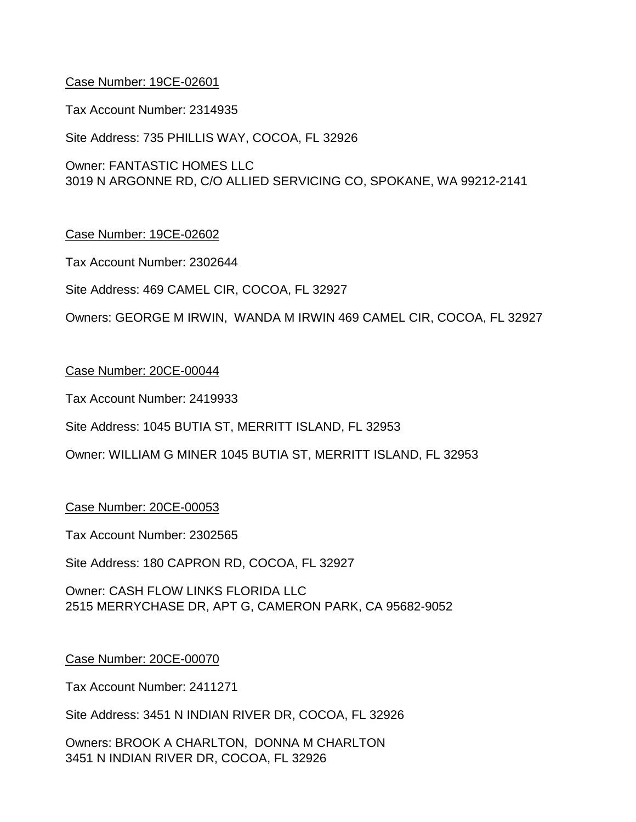Tax Account Number: 2314935

Site Address: 735 PHILLIS WAY, COCOA, FL 32926

Owner: FANTASTIC HOMES LLC 3019 N ARGONNE RD, C/O ALLIED SERVICING CO, SPOKANE, WA 99212-2141

# Case Number: 19CE-02602

Tax Account Number: 2302644

Site Address: 469 CAMEL CIR, COCOA, FL 32927

Owners: GEORGE M IRWIN, WANDA M IRWIN 469 CAMEL CIR, COCOA, FL 32927

#### Case Number: 20CE-00044

Tax Account Number: 2419933

Site Address: 1045 BUTIA ST, MERRITT ISLAND, FL 32953

Owner: WILLIAM G MINER 1045 BUTIA ST, MERRITT ISLAND, FL 32953

#### Case Number: 20CE-00053

Tax Account Number: 2302565

Site Address: 180 CAPRON RD, COCOA, FL 32927

Owner: CASH FLOW LINKS FLORIDA LLC 2515 MERRYCHASE DR, APT G, CAMERON PARK, CA 95682-9052

#### Case Number: 20CE-00070

Tax Account Number: 2411271

Site Address: 3451 N INDIAN RIVER DR, COCOA, FL 32926

Owners: BROOK A CHARLTON, DONNA M CHARLTON 3451 N INDIAN RIVER DR, COCOA, FL 32926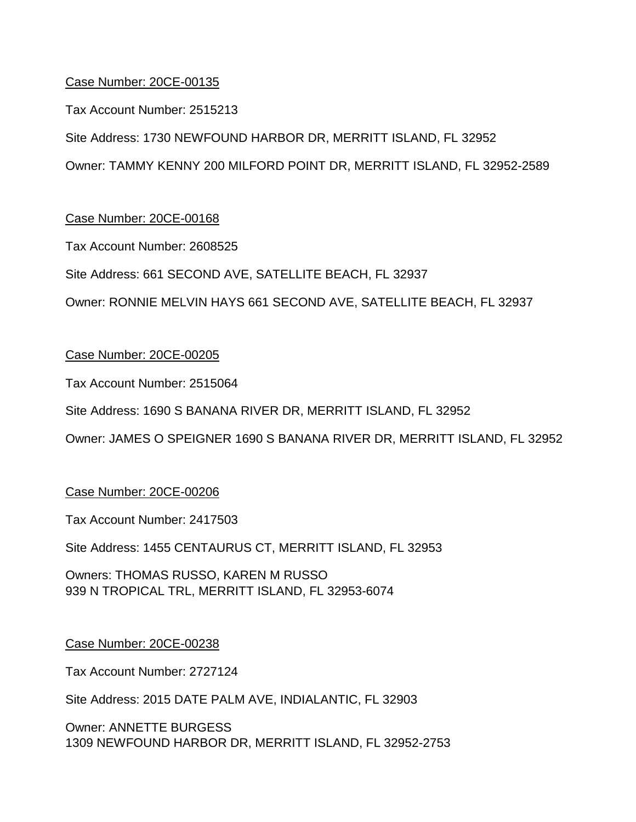Tax Account Number: 2515213

Site Address: 1730 NEWFOUND HARBOR DR, MERRITT ISLAND, FL 32952

Owner: TAMMY KENNY 200 MILFORD POINT DR, MERRITT ISLAND, FL 32952-2589

# Case Number: 20CE-00168

Tax Account Number: 2608525

Site Address: 661 SECOND AVE, SATELLITE BEACH, FL 32937

Owner: RONNIE MELVIN HAYS 661 SECOND AVE, SATELLITE BEACH, FL 32937

# Case Number: 20CE-00205

Tax Account Number: 2515064

Site Address: 1690 S BANANA RIVER DR, MERRITT ISLAND, FL 32952

Owner: JAMES O SPEIGNER 1690 S BANANA RIVER DR, MERRITT ISLAND, FL 32952

#### Case Number: 20CE-00206

Tax Account Number: 2417503

Site Address: 1455 CENTAURUS CT, MERRITT ISLAND, FL 32953

Owners: THOMAS RUSSO, KAREN M RUSSO 939 N TROPICAL TRL, MERRITT ISLAND, FL 32953-6074

#### Case Number: 20CE-00238

Tax Account Number: 2727124

Site Address: 2015 DATE PALM AVE, INDIALANTIC, FL 32903

Owner: ANNETTE BURGESS 1309 NEWFOUND HARBOR DR, MERRITT ISLAND, FL 32952-2753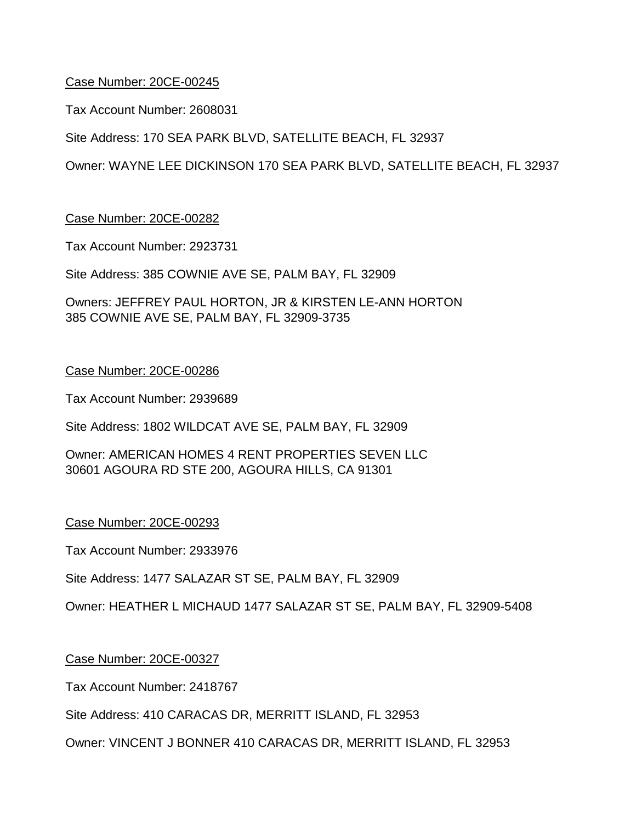Tax Account Number: 2608031

Site Address: 170 SEA PARK BLVD, SATELLITE BEACH, FL 32937

Owner: WAYNE LEE DICKINSON 170 SEA PARK BLVD, SATELLITE BEACH, FL 32937

#### Case Number: 20CE-00282

Tax Account Number: 2923731

Site Address: 385 COWNIE AVE SE, PALM BAY, FL 32909

Owners: JEFFREY PAUL HORTON, JR & KIRSTEN LE-ANN HORTON 385 COWNIE AVE SE, PALM BAY, FL 32909-3735

#### Case Number: 20CE-00286

Tax Account Number: 2939689

Site Address: 1802 WILDCAT AVE SE, PALM BAY, FL 32909

Owner: AMERICAN HOMES 4 RENT PROPERTIES SEVEN LLC 30601 AGOURA RD STE 200, AGOURA HILLS, CA 91301

#### Case Number: 20CE-00293

Tax Account Number: 2933976

Site Address: 1477 SALAZAR ST SE, PALM BAY, FL 32909

Owner: HEATHER L MICHAUD 1477 SALAZAR ST SE, PALM BAY, FL 32909-5408

#### Case Number: 20CE-00327

Tax Account Number: 2418767

Site Address: 410 CARACAS DR, MERRITT ISLAND, FL 32953

Owner: VINCENT J BONNER 410 CARACAS DR, MERRITT ISLAND, FL 32953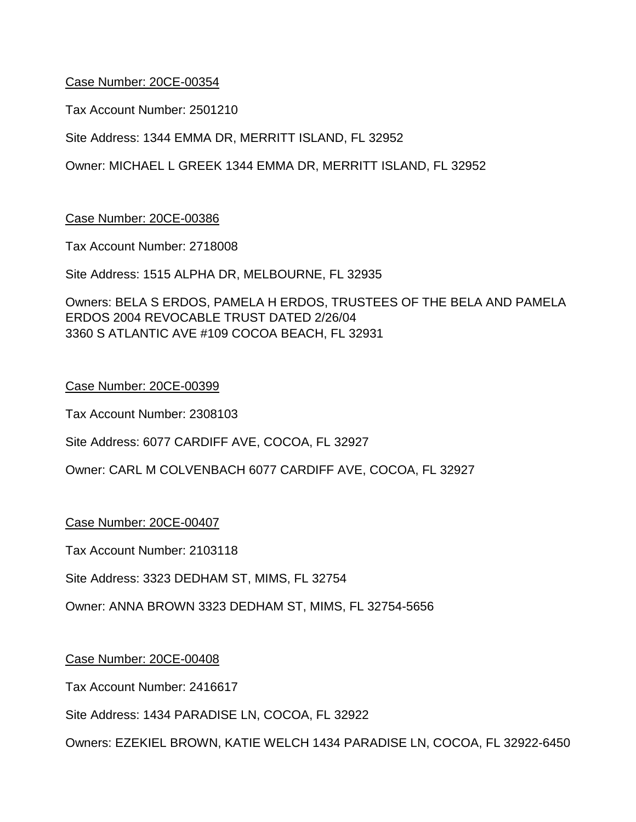Tax Account Number: 2501210

Site Address: 1344 EMMA DR, MERRITT ISLAND, FL 32952

Owner: MICHAEL L GREEK 1344 EMMA DR, MERRITT ISLAND, FL 32952

#### Case Number: 20CE-00386

Tax Account Number: 2718008

Site Address: 1515 ALPHA DR, MELBOURNE, FL 32935

Owners: BELA S ERDOS, PAMELA H ERDOS, TRUSTEES OF THE BELA AND PAMELA ERDOS 2004 REVOCABLE TRUST DATED 2/26/04 3360 S ATLANTIC AVE #109 COCOA BEACH, FL 32931

#### Case Number: 20CE-00399

Tax Account Number: 2308103

Site Address: 6077 CARDIFF AVE, COCOA, FL 32927

Owner: CARL M COLVENBACH 6077 CARDIFF AVE, COCOA, FL 32927

Case Number: 20CE-00407

Tax Account Number: 2103118

Site Address: 3323 DEDHAM ST, MIMS, FL 32754

Owner: ANNA BROWN 3323 DEDHAM ST, MIMS, FL 32754-5656

#### Case Number: 20CE-00408

Tax Account Number: 2416617

Site Address: 1434 PARADISE LN, COCOA, FL 32922

Owners: EZEKIEL BROWN, KATIE WELCH 1434 PARADISE LN, COCOA, FL 32922-6450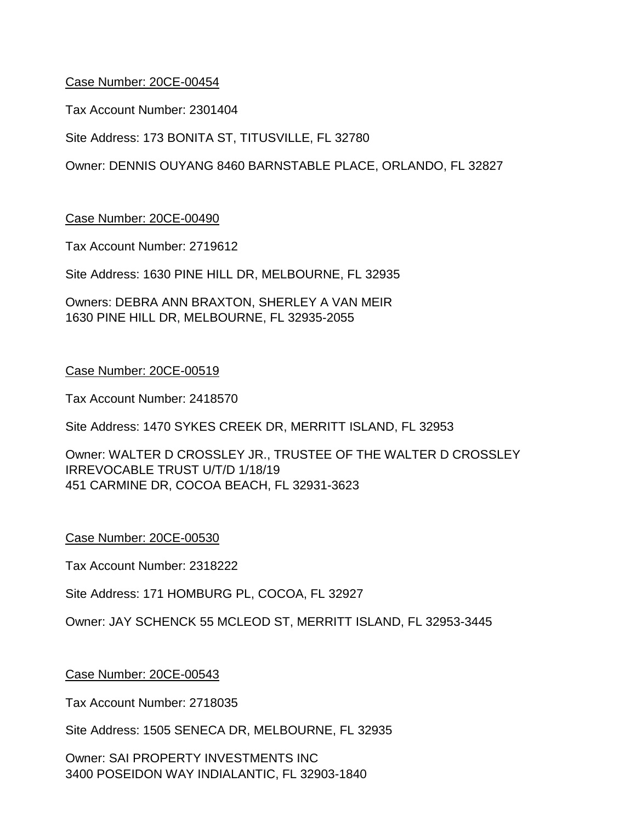Tax Account Number: 2301404

Site Address: 173 BONITA ST, TITUSVILLE, FL 32780

Owner: DENNIS OUYANG 8460 BARNSTABLE PLACE, ORLANDO, FL 32827

#### Case Number: 20CE-00490

Tax Account Number: 2719612

Site Address: 1630 PINE HILL DR, MELBOURNE, FL 32935

Owners: DEBRA ANN BRAXTON, SHERLEY A VAN MEIR 1630 PINE HILL DR, MELBOURNE, FL 32935-2055

#### Case Number: 20CE-00519

Tax Account Number: 2418570

Site Address: 1470 SYKES CREEK DR, MERRITT ISLAND, FL 32953

Owner: WALTER D CROSSLEY JR., TRUSTEE OF THE WALTER D CROSSLEY IRREVOCABLE TRUST U/T/D 1/18/19 451 CARMINE DR, COCOA BEACH, FL 32931-3623

#### Case Number: 20CE-00530

Tax Account Number: 2318222

Site Address: 171 HOMBURG PL, COCOA, FL 32927

Owner: JAY SCHENCK 55 MCLEOD ST, MERRITT ISLAND, FL 32953-3445

#### Case Number: 20CE-00543

Tax Account Number: 2718035

Site Address: 1505 SENECA DR, MELBOURNE, FL 32935

Owner: SAI PROPERTY INVESTMENTS INC 3400 POSEIDON WAY INDIALANTIC, FL 32903-1840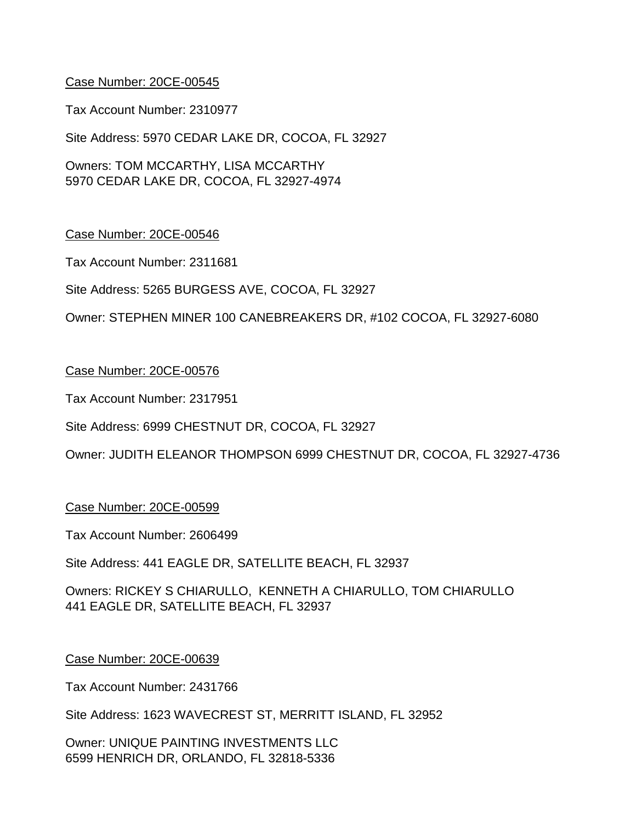Tax Account Number: 2310977

Site Address: 5970 CEDAR LAKE DR, COCOA, FL 32927

Owners: TOM MCCARTHY, LISA MCCARTHY 5970 CEDAR LAKE DR, COCOA, FL 32927-4974

#### Case Number: 20CE-00546

Tax Account Number: 2311681

Site Address: 5265 BURGESS AVE, COCOA, FL 32927

Owner: STEPHEN MINER 100 CANEBREAKERS DR, #102 COCOA, FL 32927-6080

#### Case Number: 20CE-00576

Tax Account Number: 2317951

Site Address: 6999 CHESTNUT DR, COCOA, FL 32927

Owner: JUDITH ELEANOR THOMPSON 6999 CHESTNUT DR, COCOA, FL 32927-4736

#### Case Number: 20CE-00599

Tax Account Number: 2606499

Site Address: 441 EAGLE DR, SATELLITE BEACH, FL 32937

Owners: RICKEY S CHIARULLO, KENNETH A CHIARULLO, TOM CHIARULLO 441 EAGLE DR, SATELLITE BEACH, FL 32937

#### Case Number: 20CE-00639

Tax Account Number: 2431766

Site Address: 1623 WAVECREST ST, MERRITT ISLAND, FL 32952

Owner: UNIQUE PAINTING INVESTMENTS LLC 6599 HENRICH DR, ORLANDO, FL 32818-5336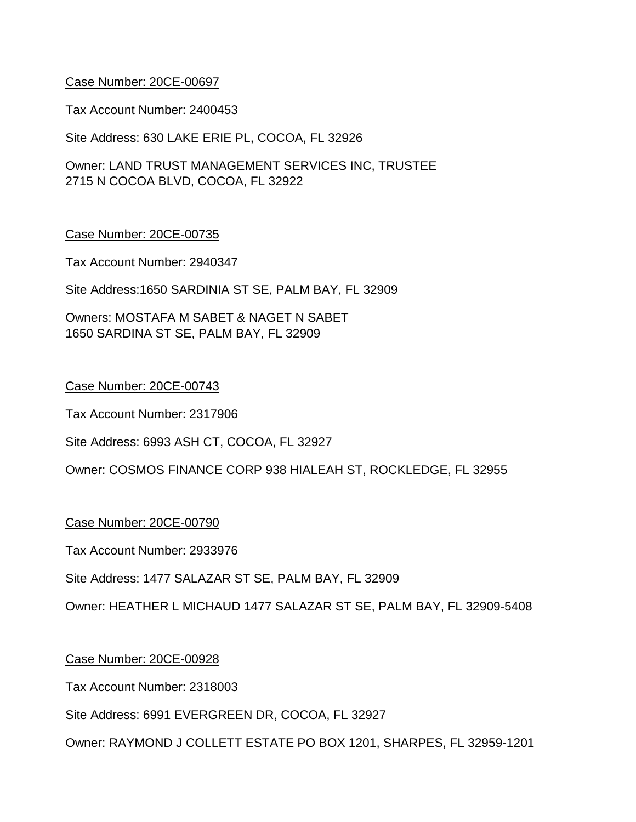Tax Account Number: 2400453

Site Address: 630 LAKE ERIE PL, COCOA, FL 32926

Owner: LAND TRUST MANAGEMENT SERVICES INC, TRUSTEE 2715 N COCOA BLVD, COCOA, FL 32922

#### Case Number: 20CE-00735

Tax Account Number: 2940347

Site Address:1650 SARDINIA ST SE, PALM BAY, FL 32909

Owners: MOSTAFA M SABET & NAGET N SABET 1650 SARDINA ST SE, PALM BAY, FL 32909

#### Case Number: 20CE-00743

Tax Account Number: 2317906

Site Address: 6993 ASH CT, COCOA, FL 32927

Owner: COSMOS FINANCE CORP 938 HIALEAH ST, ROCKLEDGE, FL 32955

#### Case Number: 20CE-00790

Tax Account Number: 2933976

Site Address: 1477 SALAZAR ST SE, PALM BAY, FL 32909

Owner: HEATHER L MICHAUD 1477 SALAZAR ST SE, PALM BAY, FL 32909-5408

#### Case Number: 20CE-00928

Tax Account Number: 2318003

Site Address: 6991 EVERGREEN DR, COCOA, FL 32927

Owner: RAYMOND J COLLETT ESTATE PO BOX 1201, SHARPES, FL 32959-1201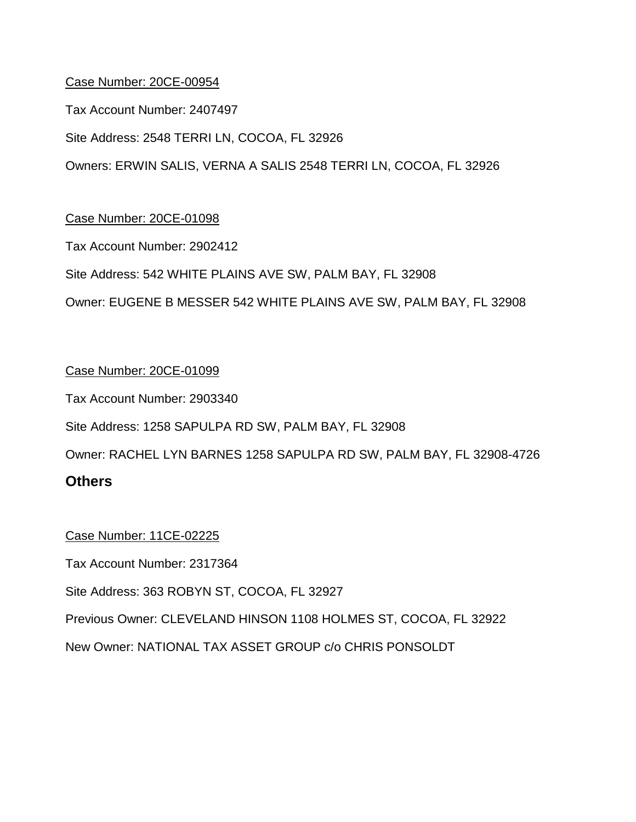Tax Account Number: 2407497

Site Address: 2548 TERRI LN, COCOA, FL 32926

Owners: ERWIN SALIS, VERNA A SALIS 2548 TERRI LN, COCOA, FL 32926

# Case Number: 20CE-01098

Tax Account Number: 2902412

Site Address: 542 WHITE PLAINS AVE SW, PALM BAY, FL 32908

Owner: EUGENE B MESSER 542 WHITE PLAINS AVE SW, PALM BAY, FL 32908

# Case Number: 20CE-01099

Tax Account Number: 2903340

Site Address: 1258 SAPULPA RD SW, PALM BAY, FL 32908

Owner: RACHEL LYN BARNES 1258 SAPULPA RD SW, PALM BAY, FL 32908-4726

# **Others**

#### Case Number: 11CE-02225

Tax Account Number: 2317364

Site Address: 363 ROBYN ST, COCOA, FL 32927

Previous Owner: CLEVELAND HINSON 1108 HOLMES ST, COCOA, FL 32922

New Owner: NATIONAL TAX ASSET GROUP c/o CHRIS PONSOLDT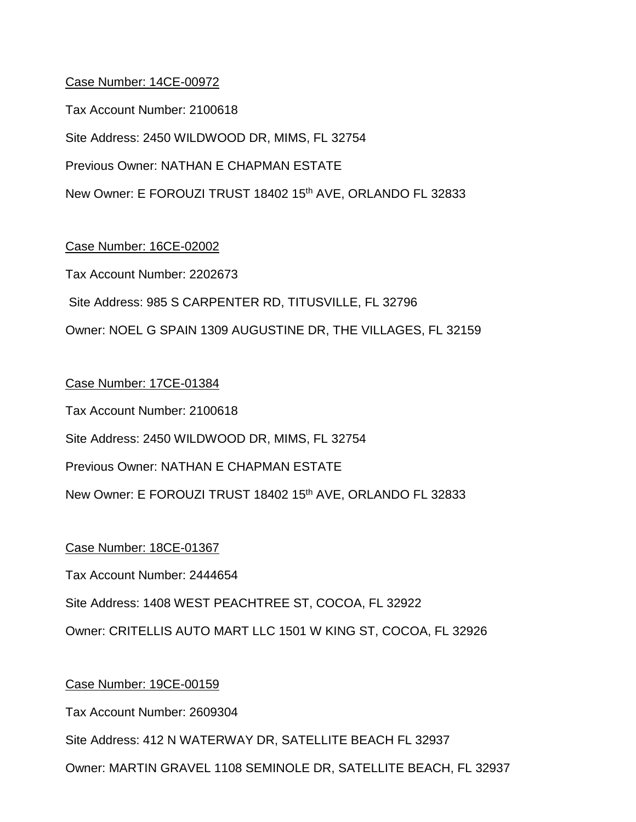Tax Account Number: 2100618 Site Address: 2450 WILDWOOD DR, MIMS, FL 32754 Previous Owner: NATHAN E CHAPMAN ESTATE New Owner: E FOROUZI TRUST 18402 15<sup>th</sup> AVE, ORLANDO FL 32833

Case Number: 16CE-02002

Tax Account Number: 2202673 Site Address: 985 S CARPENTER RD, TITUSVILLE, FL 32796 Owner: NOEL G SPAIN 1309 AUGUSTINE DR, THE VILLAGES, FL 32159

# Case Number: 17CE-01384 Tax Account Number: 2100618 Site Address: 2450 WILDWOOD DR, MIMS, FL 32754

Previous Owner: NATHAN E CHAPMAN ESTATE

New Owner: E FOROUZI TRUST 18402 15th AVE, ORLANDO FL 32833

Case Number: 18CE-01367

Tax Account Number: 2444654

Site Address: 1408 WEST PEACHTREE ST, COCOA, FL 32922

Owner: CRITELLIS AUTO MART LLC 1501 W KING ST, COCOA, FL 32926

# Case Number: 19CE-00159

Tax Account Number: 2609304

Site Address: 412 N WATERWAY DR, SATELLITE BEACH FL 32937

Owner: MARTIN GRAVEL 1108 SEMINOLE DR, SATELLITE BEACH, FL 32937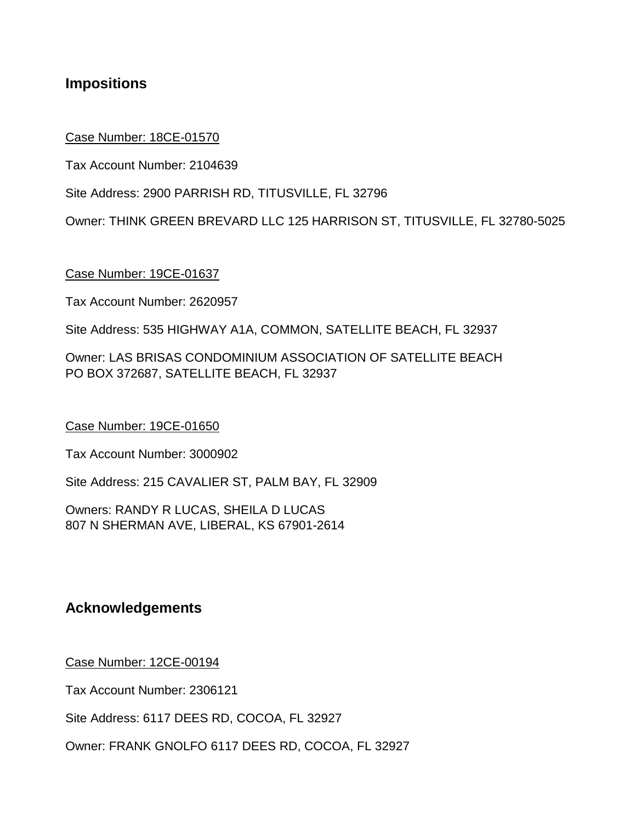# **Impositions**

#### Case Number: 18CE-01570

Tax Account Number: 2104639

Site Address: 2900 PARRISH RD, TITUSVILLE, FL 32796

Owner: THINK GREEN BREVARD LLC 125 HARRISON ST, TITUSVILLE, FL 32780-5025

#### Case Number: 19CE-01637

Tax Account Number: 2620957

Site Address: 535 HIGHWAY A1A, COMMON, SATELLITE BEACH, FL 32937

Owner: LAS BRISAS CONDOMINIUM ASSOCIATION OF SATELLITE BEACH PO BOX 372687, SATELLITE BEACH, FL 32937

#### Case Number: 19CE-01650

Tax Account Number: 3000902

Site Address: 215 CAVALIER ST, PALM BAY, FL 32909

Owners: RANDY R LUCAS, SHEILA D LUCAS 807 N SHERMAN AVE, LIBERAL, KS 67901-2614

# **Acknowledgements**

Case Number: 12CE-00194

Tax Account Number: 2306121

Site Address: 6117 DEES RD, COCOA, FL 32927

Owner: FRANK GNOLFO 6117 DEES RD, COCOA, FL 32927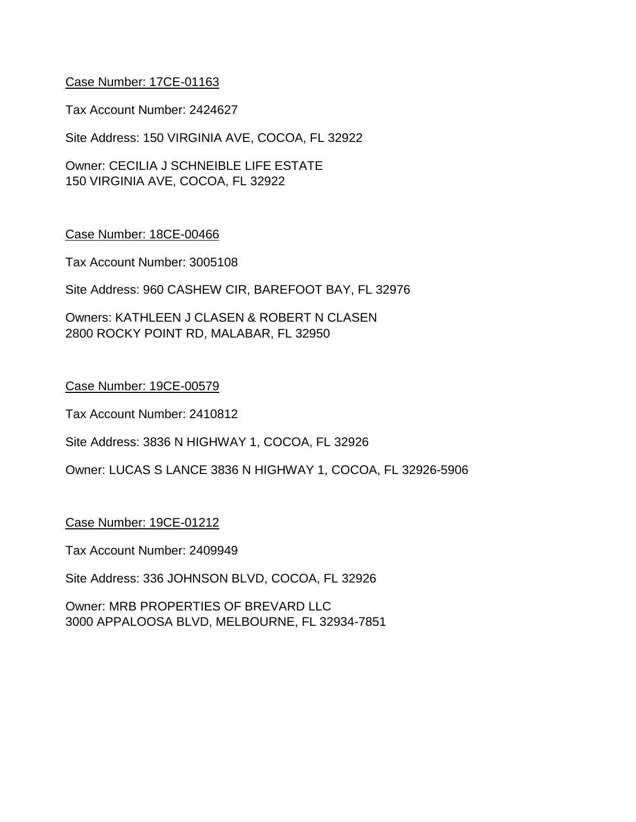Tax Account Number: 2424627

Site Address: 150 VIRGINIA AVE, COCOA, FL 32922

Owner: CECILIA J SCHNEIBLE LIFE ESTATE 150 VIRGINIA AVE, COCOA, FL 32922

#### Case Number: 18CE-00466

Tax Account Number: 3005108

Site Address: 960 CASHEW CIR, BAREFOOT BAY, FL 32976

Owners: KATHLEEN J CLASEN & ROBERT N CLASEN 2800 ROCKY POINT RD, MALABAR, FL 32950

#### Case Number: 19CE-00579

Tax Account Number: 2410812

Site Address: 3836 N HIGHWAY 1, COCOA, FL 32926

Owner: LUCAS S LANCE 3836 N HIGHWAY 1, COCOA, FL 32926-5906

#### Case Number: 19CE-01212

Tax Account Number: 2409949

Site Address: 336 JOHNSON BLVD, COCOA, FL 32926

Owner: MRB PROPERTIES OF BREVARD LLC 3000 APPALOOSA BLVD, MELBOURNE, FL 32934-7851